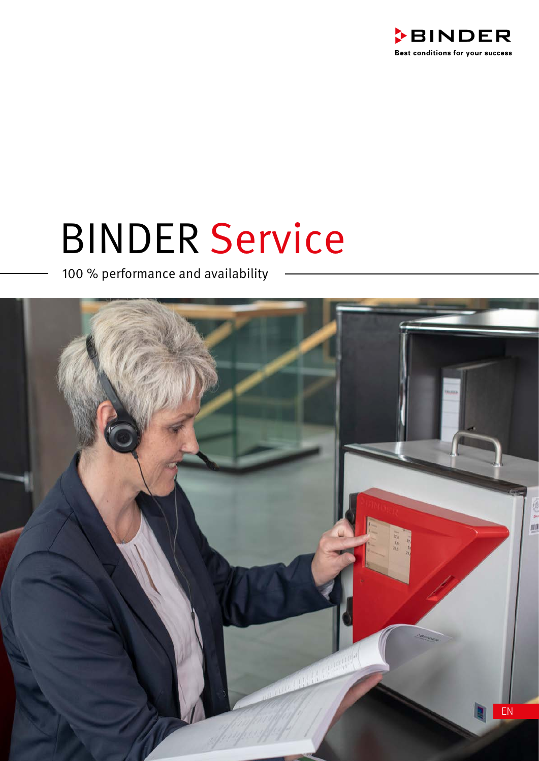

# BINDER Service

100 % performance and availability

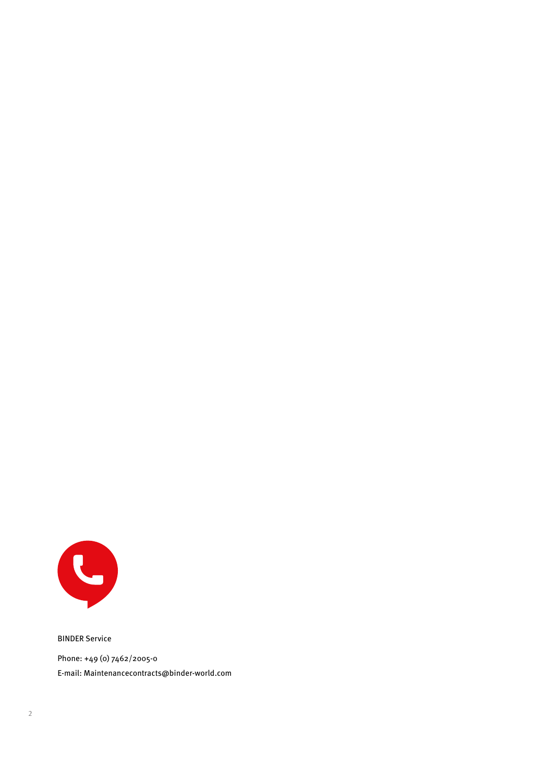

BINDER Service Phone: +49 (0) 7462/2005-0 E-mail: Maintenancecontracts@binder-world.com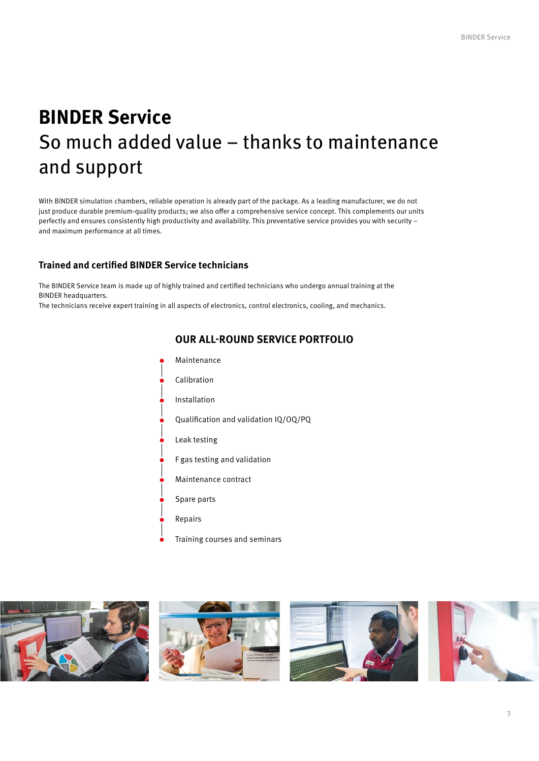# **BINDER Service** So much added value – thanks to maintenance and support

With BINDER simulation chambers, reliable operation is already part of the package. As a leading manufacturer, we do not just produce durable premium-quality products; we also offer a comprehensive service concept. This complements our units perfectly and ensures consistently high productivity and availability. This preventative service provides you with security – and maximum performance at all times.

#### **Trained and certified BINDER Service technicians**

The BINDER Service team is made up of highly trained and certified technicians who undergo annual training at the BINDER headquarters.

The technicians receive expert training in all aspects of electronics, control electronics, cooling, and mechanics.



#### **OUR ALL-ROUND SERVICE PORTFOLIO**

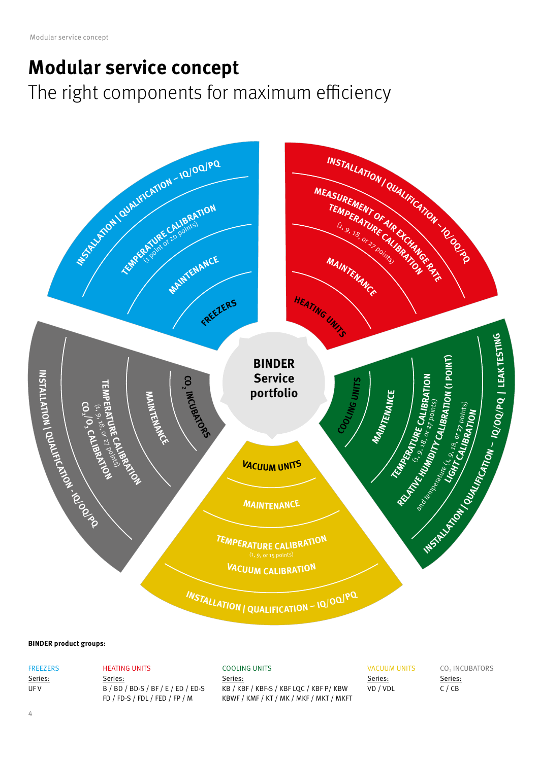### **Modular service concept**

The right components for maximum efficiency



#### **BINDER product groups:**

**FREEZERS** Series: UF V

#### HEATING UNITS

Series: B / BD / BD-S / BF / E / ED / ED-S FD / FD-S / FDL / FED / FP / M

#### COOLING UNITS

Series: KB / KBF / KBF-S / KBF LQC / KBF P/ KBW KBWF / KMF / KT / MK / MKF / MKT / MKFT VACUUM UNITS Series: VD / VDL

CO<sub>2</sub> INCUBATORS Series: C / CB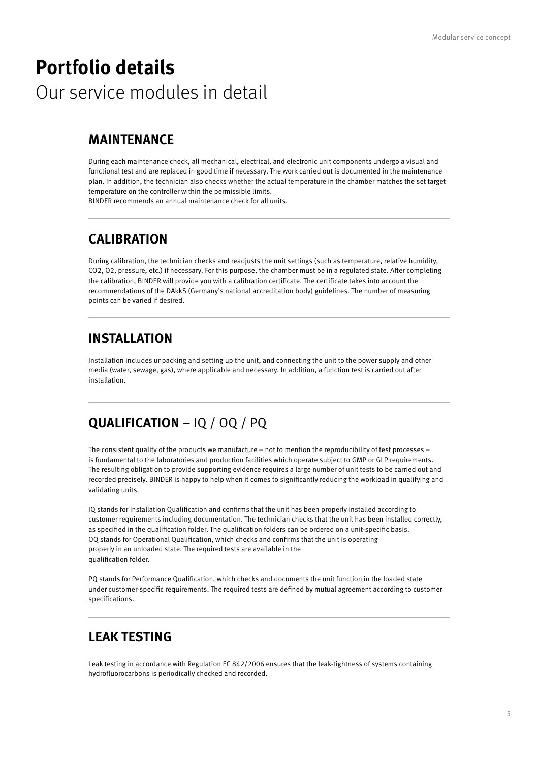### **Portfolio details** Our service modules in detail

#### **MAINTENANCE**

During each maintenance check, all mechanical, electrical, and electronic unit components undergo a visual and functional test and are replaced in good time if necessary. The work carried out is documented in the maintenance plan. In addition, the technician also checks whether the actual temperature in the chamber matches the set target temperature on the controller within the permissible limits.

BINDER recommends an annual maintenance check for all units.

#### **CALIBRATION**

During calibration, the technician checks and readjusts the unit settings (such as temperature, relative humidity, CO2, O2, pressure, etc.) if necessary. For this purpose, the chamber must be in a regulated state. After completing the calibration, BINDER will provide you with a calibration certificate. The certificate takes into account the recommendations of the DAkkS (Germany's national accreditation body) guidelines. The number of measuring points can be varied if desired.

#### **INSTALLATION**

Installation includes unpacking and setting up the unit, and connecting the unit to the power supply and other media (water, sewage, gas), where applicable and necessary. In addition, a function test is carried out after installation.

#### **QUALIFICATION** – IQ / OQ / PQ

The consistent quality of the products we manufacture – not to mention the reproducibility of test processes – is fundamental to the laboratories and production facilities which operate subject to GMP or GLP requirements. The resulting obligation to provide supporting evidence requires a large number of unit tests to be carried out and recorded precisely. BINDER is happy to help when it comes to significantly reducing the workload in qualifying and validating units.

IQ stands for Installation Qualification and confirms that the unit has been properly installed according to customer requirements including documentation. The technician checks that the unit has been installed correctly, as specified in the qualification folder. The qualification folders can be ordered on a unit-specific basis. OQ stands for Operational Qualification, which checks and confirms that the unit is operating properly in an unloaded state. The required tests are available in the qualification folder.

PQ stands for Performance Qualification, which checks and documents the unit function in the loaded state under customer-specific requirements. The required tests are defined by mutual agreement according to customer specifications.

#### **LEAK TESTING**

Leak testing in accordance with Regulation EC 842/2006 ensures that the leak-tightness of systems containing hydrofluorocarbons is periodically checked and recorded.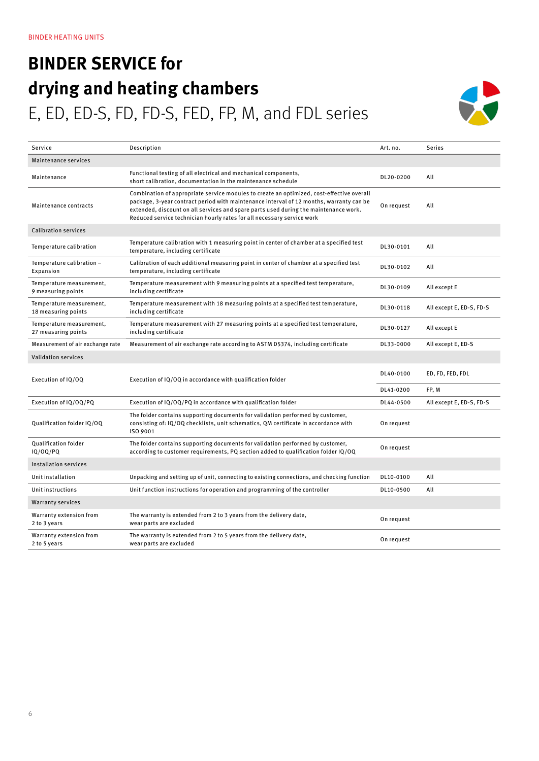### **BINDER SERVICE for drying and heating chambers** E, ED, ED-S, FD, FD-S, FED, FP, M, and FDL series



| Service                                         | Description                                                                                                                                                                                                                                                                                                                                            | Art. no.   | <b>Series</b>            |
|-------------------------------------------------|--------------------------------------------------------------------------------------------------------------------------------------------------------------------------------------------------------------------------------------------------------------------------------------------------------------------------------------------------------|------------|--------------------------|
| Maintenance services                            |                                                                                                                                                                                                                                                                                                                                                        |            |                          |
| Maintenance                                     | Functional testing of all electrical and mechanical components,<br>short calibration, documentation in the maintenance schedule                                                                                                                                                                                                                        | DL20-0200  | All                      |
| Maintenance contracts                           | Combination of appropriate service modules to create an optimized, cost-effective overall<br>package, 3-year contract period with maintenance interval of 12 months, warranty can be<br>extended, discount on all services and spare parts used during the maintenance work.<br>Reduced service technician hourly rates for all necessary service work | On request | All                      |
| <b>Calibration services</b>                     |                                                                                                                                                                                                                                                                                                                                                        |            |                          |
| Temperature calibration                         | Temperature calibration with 1 measuring point in center of chamber at a specified test<br>temperature, including certificate                                                                                                                                                                                                                          | DL30-0101  | All                      |
| Temperature calibration -<br>Expansion          | Calibration of each additional measuring point in center of chamber at a specified test<br>temperature, including certificate                                                                                                                                                                                                                          | DL30-0102  | All                      |
| Temperature measurement,<br>9 measuring points  | Temperature measurement with 9 measuring points at a specified test temperature,<br>including certificate                                                                                                                                                                                                                                              | DL30-0109  | All except E             |
| Temperature measurement,<br>18 measuring points | Temperature measurement with 18 measuring points at a specified test temperature,<br>including certificate                                                                                                                                                                                                                                             | DL30-0118  | All except E, ED-S, FD-S |
| Temperature measurement,<br>27 measuring points | Temperature measurement with 27 measuring points at a specified test temperature,<br>including certificate                                                                                                                                                                                                                                             | DL30-0127  | All except E             |
| Measurement of air exchange rate                | Measurement of air exchange rate according to ASTM D5374, including certificate                                                                                                                                                                                                                                                                        | DL33-0000  | All except E, ED-S       |
| <b>Validation services</b>                      |                                                                                                                                                                                                                                                                                                                                                        |            |                          |
| Execution of IQ/OQ                              | Execution of IQ/OQ in accordance with qualification folder                                                                                                                                                                                                                                                                                             | DL40-0100  | ED, FD, FED, FDL         |
|                                                 |                                                                                                                                                                                                                                                                                                                                                        | DL41-0200  | FP, M                    |
| Execution of IQ/OQ/PQ                           | Execution of IQ/OQ/PQ in accordance with qualification folder                                                                                                                                                                                                                                                                                          | DL44-0500  | All except E, ED-S, FD-S |
| Qualification folder IQ/OQ                      | The folder contains supporting documents for validation performed by customer,<br>consisting of: IQ/OQ checklists, unit schematics, QM certificate in accordance with<br>ISO 9001                                                                                                                                                                      | On request |                          |
| Qualification folder<br>IQ/OQ/PQ                | The folder contains supporting documents for validation performed by customer,<br>according to customer requirements, PQ section added to qualification folder IQ/OQ                                                                                                                                                                                   | On request |                          |
| Installation services                           |                                                                                                                                                                                                                                                                                                                                                        |            |                          |
| Unit installation                               | Unpacking and setting up of unit, connecting to existing connections, and checking function                                                                                                                                                                                                                                                            | DL10-0100  | All                      |
| Unit instructions                               | Unit function instructions for operation and programming of the controller                                                                                                                                                                                                                                                                             | DL10-0500  | All                      |
| <b>Warranty services</b>                        |                                                                                                                                                                                                                                                                                                                                                        |            |                          |
| Warranty extension from<br>2 to 3 years         | The warranty is extended from 2 to 3 years from the delivery date,<br>wear parts are excluded                                                                                                                                                                                                                                                          | On request |                          |
| Warranty extension from<br>2 to 5 years         | The warranty is extended from 2 to 5 years from the delivery date,<br>wear parts are excluded                                                                                                                                                                                                                                                          | On request |                          |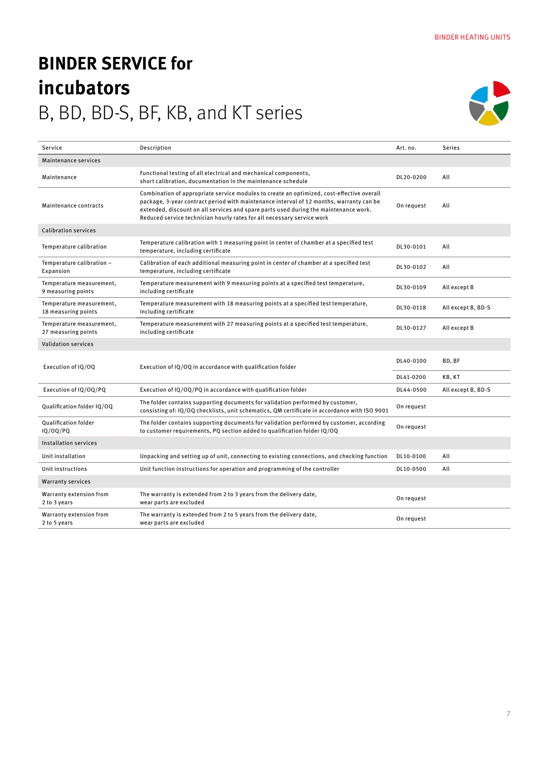## **BINDER SERVICE for incubators** B, BD, BD-S, BF, KB, and KT series



| Service                                         | Description                                                                                                                                                                                                                                                                                                                                            | Art. no.   | <b>Series</b>      |
|-------------------------------------------------|--------------------------------------------------------------------------------------------------------------------------------------------------------------------------------------------------------------------------------------------------------------------------------------------------------------------------------------------------------|------------|--------------------|
| Maintenance services                            |                                                                                                                                                                                                                                                                                                                                                        |            |                    |
| Maintenance                                     | Functional testing of all electrical and mechanical components,<br>short calibration, documentation in the maintenance schedule                                                                                                                                                                                                                        | DL20-0200  | All                |
| Maintenance contracts                           | Combination of appropriate service modules to create an optimized, cost-effective overall<br>package, 3-year contract period with maintenance interval of 12 months, warranty can be<br>extended, discount on all services and spare parts used during the maintenance work.<br>Reduced service technician hourly rates for all necessary service work | On request | All                |
| <b>Calibration services</b>                     |                                                                                                                                                                                                                                                                                                                                                        |            |                    |
| Temperature calibration                         | Temperature calibration with 1 measuring point in center of chamber at a specified test<br>temperature, including certificate                                                                                                                                                                                                                          | DL30-0101  | All                |
| Temperature calibration -<br>Expansion          | Calibration of each additional measuring point in center of chamber at a specified test<br>temperature, including certificate                                                                                                                                                                                                                          | DL30-0102  | All                |
| Temperature measurement,<br>9 measuring points  | Temperature measurement with 9 measuring points at a specified test temperature,<br>including certificate                                                                                                                                                                                                                                              | DL30-0109  | All except B       |
| Temperature measurement,<br>18 measuring points | Temperature measurement with 18 measuring points at a specified test temperature,<br>including certificate                                                                                                                                                                                                                                             | DL30-0118  | All except B, BD-S |
| Temperature measurement,<br>27 measuring points | Temperature measurement with 27 measuring points at a specified test temperature,<br>including certificate                                                                                                                                                                                                                                             | DL30-0127  | All except B       |
| <b>Validation services</b>                      |                                                                                                                                                                                                                                                                                                                                                        |            |                    |
| Execution of IQ/OQ                              | Execution of IQ/OQ in accordance with qualification folder                                                                                                                                                                                                                                                                                             | DL40-0100  | BD, BF             |
|                                                 |                                                                                                                                                                                                                                                                                                                                                        | DL41-0200  | KB, KT             |
| Execution of IQ/OQ/PQ                           | Execution of IQ/OQ/PQ in accordance with qualification folder                                                                                                                                                                                                                                                                                          | DL44-0500  | All except B, BD-S |
| Qualification folder IQ/OQ                      | The folder contains supporting documents for validation performed by customer,<br>consisting of: IQ/OQ checklists, unit schematics, QM certificate in accordance with ISO 9001                                                                                                                                                                         | On request |                    |
| Qualification folder<br>IQ/OQ/PQ                | The folder contains supporting documents for validation performed by customer, according<br>to customer requirements, PQ section added to qualification folder IQ/OQ                                                                                                                                                                                   | On request |                    |
| Installation services                           |                                                                                                                                                                                                                                                                                                                                                        |            |                    |
| Unit installation                               | Unpacking and setting up of unit, connecting to existing connections, and checking function                                                                                                                                                                                                                                                            | DL10-0100  | All                |
| Unit instructions                               | Unit function instructions for operation and programming of the controller                                                                                                                                                                                                                                                                             | DL10-0500  | All                |
| <b>Warranty services</b>                        |                                                                                                                                                                                                                                                                                                                                                        |            |                    |
| Warranty extension from<br>2 to 3 years         | The warranty is extended from 2 to 3 years from the delivery date,<br>wear parts are excluded                                                                                                                                                                                                                                                          | On request |                    |
| Warranty extension from<br>2 to 5 years         | The warranty is extended from 2 to 5 years from the delivery date,<br>wear parts are excluded                                                                                                                                                                                                                                                          | On request |                    |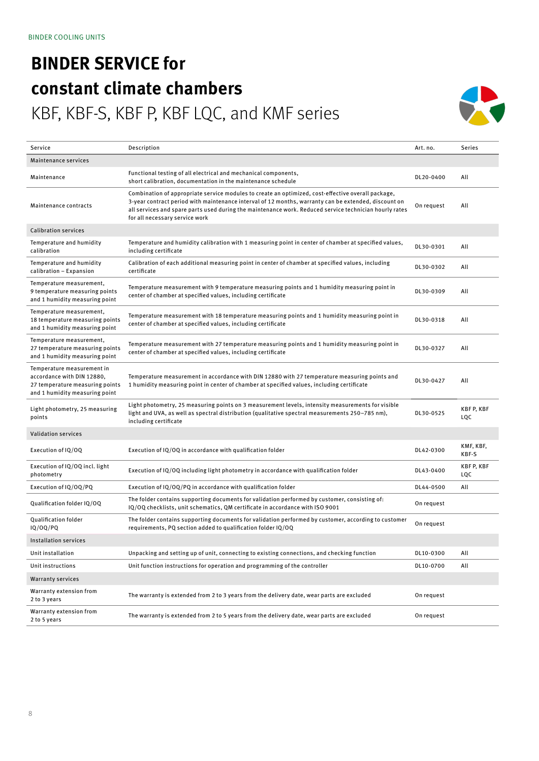# **BINDER SERVICE for constant climate chambers**

### KBF, KBF-S, KBF P, KBF LQC, and KMF series



| Service                                                                                                                       | Description                                                                                                                                                                                                                                                                                                                                            | Art. no.   | Series                  |
|-------------------------------------------------------------------------------------------------------------------------------|--------------------------------------------------------------------------------------------------------------------------------------------------------------------------------------------------------------------------------------------------------------------------------------------------------------------------------------------------------|------------|-------------------------|
| Maintenance services                                                                                                          |                                                                                                                                                                                                                                                                                                                                                        |            |                         |
| Maintenance                                                                                                                   | Functional testing of all electrical and mechanical components,<br>short calibration, documentation in the maintenance schedule                                                                                                                                                                                                                        | DL20-0400  | All                     |
| Maintenance contracts                                                                                                         | Combination of appropriate service modules to create an optimized, cost-effective overall package,<br>3-year contract period with maintenance interval of 12 months, warranty can be extended, discount on<br>all services and spare parts used during the maintenance work. Reduced service technician hourly rates<br>for all necessary service work | On request | All                     |
| <b>Calibration services</b>                                                                                                   |                                                                                                                                                                                                                                                                                                                                                        |            |                         |
| Temperature and humidity<br>calibration                                                                                       | Temperature and humidity calibration with 1 measuring point in center of chamber at specified values,<br>including certificate                                                                                                                                                                                                                         | DL30-0301  | All                     |
| Temperature and humidity<br>calibration - Expansion                                                                           | Calibration of each additional measuring point in center of chamber at specified values, including<br>certificate                                                                                                                                                                                                                                      | DL30-0302  | All                     |
| Temperature measurement,<br>9 temperature measuring points<br>and 1 humidity measuring point                                  | Temperature measurement with 9 temperature measuring points and 1 humidity measuring point in<br>center of chamber at specified values, including certificate                                                                                                                                                                                          | DL30-0309  | All                     |
| Temperature measurement,<br>18 temperature measuring points<br>and 1 humidity measuring point                                 | Temperature measurement with 18 temperature measuring points and 1 humidity measuring point in<br>center of chamber at specified values, including certificate                                                                                                                                                                                         | DL30-0318  | All                     |
| Temperature measurement,<br>27 temperature measuring points<br>and 1 humidity measuring point                                 | Temperature measurement with 27 temperature measuring points and 1 humidity measuring point in<br>center of chamber at specified values, including certificate                                                                                                                                                                                         | DL30-0327  | All                     |
| Temperature measurement in<br>accordance with DIN 12880,<br>27 temperature measuring points<br>and 1 humidity measuring point | Temperature measurement in accordance with DIN 12880 with 27 temperature measuring points and<br>1 humidity measuring point in center of chamber at specified values, including certificate                                                                                                                                                            | DL30-0427  | All                     |
| Light photometry, 25 measuring<br>points                                                                                      | Light photometry, 25 measuring points on 3 measurement levels, intensity measurements for visible<br>light and UVA, as well as spectral distribution (qualitative spectral measurements 250-785 nm),<br>including certificate                                                                                                                          | DL30-0525  | <b>KBFP, KBF</b><br>LQC |
| <b>Validation services</b>                                                                                                    |                                                                                                                                                                                                                                                                                                                                                        |            |                         |
| Execution of IQ/OQ                                                                                                            | Execution of IQ/OQ in accordance with qualification folder                                                                                                                                                                                                                                                                                             | DL42-0300  | KMF, KBF,<br>KBF-S      |
| Execution of IQ/OQ incl. light<br>photometry                                                                                  | Execution of IQ/OQ including light photometry in accordance with qualification folder                                                                                                                                                                                                                                                                  | DL43-0400  | KBF P, KBF<br>LQC       |
| Execution of IQ/OQ/PQ                                                                                                         | Execution of IQ/OQ/PQ in accordance with qualification folder                                                                                                                                                                                                                                                                                          | DL44-0500  | All                     |
| Qualification folder IQ/OQ                                                                                                    | The folder contains supporting documents for validation performed by customer, consisting of:<br>IQ/OQ checklists, unit schematics, QM certificate in accordance with ISO 9001                                                                                                                                                                         | On request |                         |
| Qualification folder<br>IQ/OQ/PQ                                                                                              | The folder contains supporting documents for validation performed by customer, according to customer<br>requirements, PQ section added to qualification folder IQ/OQ                                                                                                                                                                                   | On request |                         |
| Installation services                                                                                                         |                                                                                                                                                                                                                                                                                                                                                        |            |                         |
| Unit installation                                                                                                             | Unpacking and setting up of unit, connecting to existing connections, and checking function                                                                                                                                                                                                                                                            | DL10-0300  | All                     |
| Unit instructions                                                                                                             | Unit function instructions for operation and programming of the controller                                                                                                                                                                                                                                                                             | DL10-0700  | All                     |
| <b>Warranty services</b>                                                                                                      |                                                                                                                                                                                                                                                                                                                                                        |            |                         |
| Warranty extension from<br>2 to 3 years                                                                                       | The warranty is extended from 2 to 3 years from the delivery date, wear parts are excluded                                                                                                                                                                                                                                                             | On request |                         |
| Warranty extension from<br>2 to 5 years                                                                                       | The warranty is extended from 2 to 5 years from the delivery date, wear parts are excluded                                                                                                                                                                                                                                                             | On request |                         |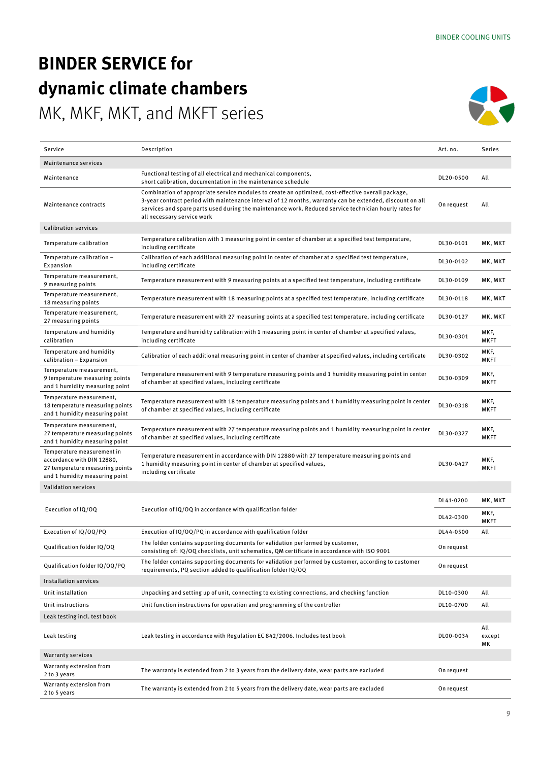### **BINDER SERVICE for dynamic climate chambers**

MK, MKF, MKT, and MKFT series



| Service                                                                                                                       | Description                                                                                                                                                                                                                                                                                                                                            | Art. no.   | Series              |
|-------------------------------------------------------------------------------------------------------------------------------|--------------------------------------------------------------------------------------------------------------------------------------------------------------------------------------------------------------------------------------------------------------------------------------------------------------------------------------------------------|------------|---------------------|
| Maintenance services                                                                                                          |                                                                                                                                                                                                                                                                                                                                                        |            |                     |
| Maintenance                                                                                                                   | Functional testing of all electrical and mechanical components,<br>short calibration, documentation in the maintenance schedule                                                                                                                                                                                                                        | DL20-0500  | All                 |
| Maintenance contracts                                                                                                         | Combination of appropriate service modules to create an optimized, cost-effective overall package,<br>3-year contract period with maintenance interval of 12 months, warranty can be extended, discount on all<br>services and spare parts used during the maintenance work. Reduced service technician hourly rates for<br>all necessary service work | On request | All                 |
| <b>Calibration services</b>                                                                                                   |                                                                                                                                                                                                                                                                                                                                                        |            |                     |
| Temperature calibration                                                                                                       | Temperature calibration with 1 measuring point in center of chamber at a specified test temperature,<br>including certificate                                                                                                                                                                                                                          | DL30-0101  | MK, MKT             |
| Temperature calibration -<br>Expansion                                                                                        | Calibration of each additional measuring point in center of chamber at a specified test temperature,<br>including certificate                                                                                                                                                                                                                          | DL30-0102  | MK, MKT             |
| Temperature measurement,<br>9 measuring points                                                                                | Temperature measurement with 9 measuring points at a specified test temperature, including certificate                                                                                                                                                                                                                                                 | DL30-0109  | MK, MKT             |
| Temperature measurement,<br>18 measuring points                                                                               | Temperature measurement with 18 measuring points at a specified test temperature, including certificate                                                                                                                                                                                                                                                | DL30-0118  | MK, MKT             |
| Temperature measurement,<br>27 measuring points                                                                               | Temperature measurement with 27 measuring points at a specified test temperature, including certificate                                                                                                                                                                                                                                                | DL30-0127  | MK, MKT             |
| Temperature and humidity<br>calibration                                                                                       | Temperature and humidity calibration with 1 measuring point in center of chamber at specified values,<br>including certificate                                                                                                                                                                                                                         | DL30-0301  | MKF,<br><b>MKFT</b> |
| Temperature and humidity<br>calibration - Expansion                                                                           | Calibration of each additional measuring point in center of chamber at specified values, including certificate                                                                                                                                                                                                                                         | DL30-0302  | MKF,<br><b>MKFT</b> |
| Temperature measurement,<br>9 temperature measuring points<br>and 1 humidity measuring point                                  | Temperature measurement with 9 temperature measuring points and 1 humidity measuring point in center<br>of chamber at specified values, including certificate                                                                                                                                                                                          | DL30-0309  | MKF,<br><b>MKFT</b> |
| Temperature measurement,<br>18 temperature measuring points<br>and 1 humidity measuring point                                 | Temperature measurement with 18 temperature measuring points and 1 humidity measuring point in center<br>of chamber at specified values, including certificate                                                                                                                                                                                         | DL30-0318  | MKF,<br><b>MKFT</b> |
| Temperature measurement,<br>27 temperature measuring points<br>and 1 humidity measuring point                                 | Temperature measurement with 27 temperature measuring points and 1 humidity measuring point in center<br>of chamber at specified values, including certificate                                                                                                                                                                                         | DL30-0327  | MKF,<br><b>MKFT</b> |
| Temperature measurement in<br>accordance with DIN 12880,<br>27 temperature measuring points<br>and 1 humidity measuring point | Temperature measurement in accordance with DIN 12880 with 27 temperature measuring points and<br>1 humidity measuring point in center of chamber at specified values,<br>including certificate                                                                                                                                                         | DL30-0427  | MKF,<br><b>MKFT</b> |
| <b>Validation services</b>                                                                                                    |                                                                                                                                                                                                                                                                                                                                                        |            |                     |
|                                                                                                                               |                                                                                                                                                                                                                                                                                                                                                        | DL41-0200  | MK, MKT             |
| Execution of IQ/OQ                                                                                                            | Execution of IQ/OQ in accordance with qualification folder                                                                                                                                                                                                                                                                                             | DL42-0300  | MKF,<br><b>MKFT</b> |
| Execution of IQ/OQ/PQ                                                                                                         | Execution of IQ/OQ/PQ in accordance with qualification folder                                                                                                                                                                                                                                                                                          | DL44-0500  | All                 |
| Qualification folder IQ/OQ                                                                                                    | The folder contains supporting documents for validation performed by customer,<br>consisting of: IQ/OQ checklists, unit schematics, QM certificate in accordance with ISO 9001                                                                                                                                                                         | On request |                     |
| Qualification folder IQ/OQ/PQ                                                                                                 | The folder contains supporting documents for validation performed by customer, according to customer<br>requirements, PQ section added to qualification folder IQ/OQ                                                                                                                                                                                   | On request |                     |
| Installation services                                                                                                         |                                                                                                                                                                                                                                                                                                                                                        |            |                     |
| Unit installation                                                                                                             | Unpacking and setting up of unit, connecting to existing connections, and checking function                                                                                                                                                                                                                                                            | DL10-0300  | All                 |
| Unit instructions                                                                                                             | Unit function instructions for operation and programming of the controller                                                                                                                                                                                                                                                                             | DL10-0700  | All                 |
| Leak testing incl. test book                                                                                                  |                                                                                                                                                                                                                                                                                                                                                        |            |                     |
| Leak testing                                                                                                                  | Leak testing in accordance with Regulation EC 842/2006. Includes test book                                                                                                                                                                                                                                                                             | DL00-0034  | All<br>except<br>MК |
| <b>Warranty services</b>                                                                                                      |                                                                                                                                                                                                                                                                                                                                                        |            |                     |
| Warranty extension from<br>2 to 3 years                                                                                       | The warranty is extended from 2 to 3 years from the delivery date, wear parts are excluded                                                                                                                                                                                                                                                             | On request |                     |
| Warranty extension from<br>2 to 5 years                                                                                       | The warranty is extended from 2 to 5 years from the delivery date, wear parts are excluded                                                                                                                                                                                                                                                             | On request |                     |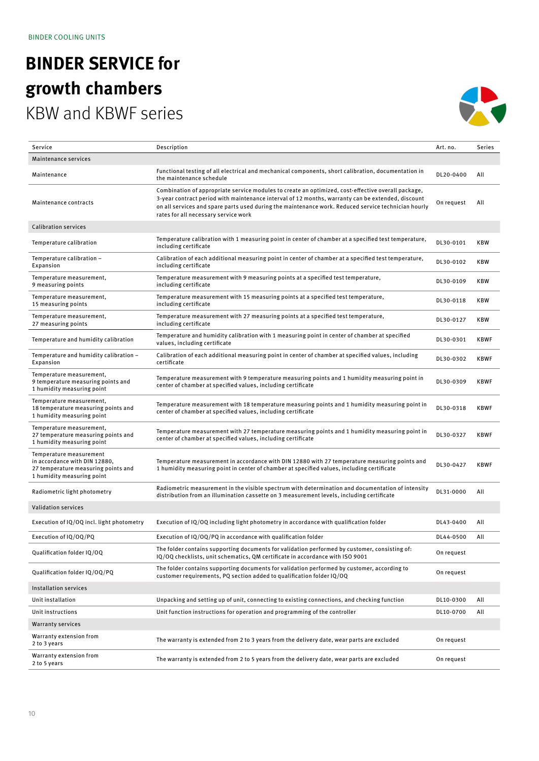### **BINDER SERVICE for growth chambers** KBW and KBWF series



| Service                                                                                                                       | Description                                                                                                                                                                                                                                                                                                                                            | Art. no.   | Series      |
|-------------------------------------------------------------------------------------------------------------------------------|--------------------------------------------------------------------------------------------------------------------------------------------------------------------------------------------------------------------------------------------------------------------------------------------------------------------------------------------------------|------------|-------------|
| Maintenance services                                                                                                          |                                                                                                                                                                                                                                                                                                                                                        |            |             |
| Maintenance                                                                                                                   | Functional testing of all electrical and mechanical components, short calibration, documentation in<br>the maintenance schedule                                                                                                                                                                                                                        | DL20-0400  | All         |
| Maintenance contracts                                                                                                         | Combination of appropriate service modules to create an optimized, cost-effective overall package,<br>3-year contract period with maintenance interval of 12 months, warranty can be extended, discount<br>on all services and spare parts used during the maintenance work. Reduced service technician hourly<br>rates for all necessary service work | On request | All         |
| <b>Calibration services</b>                                                                                                   |                                                                                                                                                                                                                                                                                                                                                        |            |             |
| Temperature calibration                                                                                                       | Temperature calibration with 1 measuring point in center of chamber at a specified test temperature,<br>including certificate                                                                                                                                                                                                                          | DL30-0101  | <b>KBW</b>  |
| Temperature calibration -<br>Expansion                                                                                        | Calibration of each additional measuring point in center of chamber at a specified test temperature,<br>including certificate                                                                                                                                                                                                                          | DL30-0102  | KBW         |
| Temperature measurement,<br>9 measuring points                                                                                | Temperature measurement with 9 measuring points at a specified test temperature,<br>including certificate                                                                                                                                                                                                                                              | DL30-0109  | <b>KBW</b>  |
| Temperature measurement,<br>15 measuring points                                                                               | Temperature measurement with 15 measuring points at a specified test temperature,<br>including certificate                                                                                                                                                                                                                                             | DL30-0118  | <b>KBW</b>  |
| Temperature measurement,<br>27 measuring points                                                                               | Temperature measurement with 27 measuring points at a specified test temperature,<br>including certificate                                                                                                                                                                                                                                             | DL30-0127  | <b>KBW</b>  |
| Temperature and humidity calibration                                                                                          | Temperature and humidity calibration with 1 measuring point in center of chamber at specified<br>values, including certificate                                                                                                                                                                                                                         | DL30-0301  | <b>KBWF</b> |
| Temperature and humidity calibration -<br>Expansion                                                                           | Calibration of each additional measuring point in center of chamber at specified values, including<br>certificate                                                                                                                                                                                                                                      | DL30-0302  | <b>KBWF</b> |
| Temperature measurement,<br>9 temperature measuring points and<br>1 humidity measuring point                                  | Temperature measurement with 9 temperature measuring points and 1 humidity measuring point in<br>center of chamber at specified values, including certificate                                                                                                                                                                                          | DL30-0309  | <b>KBWF</b> |
| Temperature measurement,<br>18 temperature measuring points and<br>1 humidity measuring point                                 | Temperature measurement with 18 temperature measuring points and 1 humidity measuring point in<br>center of chamber at specified values, including certificate                                                                                                                                                                                         | DL30-0318  | <b>KBWF</b> |
| Temperature measurement,<br>27 temperature measuring points and<br>1 humidity measuring point                                 | Temperature measurement with 27 temperature measuring points and 1 humidity measuring point in<br>center of chamber at specified values, including certificate                                                                                                                                                                                         | DL30-0327  | <b>KBWF</b> |
| Temperature measurement<br>in accordance with DIN 12880,<br>27 temperature measuring points and<br>1 humidity measuring point | Temperature measurement in accordance with DIN 12880 with 27 temperature measuring points and<br>1 humidity measuring point in center of chamber at specified values, including certificate                                                                                                                                                            | DL30-0427  | <b>KBWF</b> |
| Radiometric light photometry                                                                                                  | Radiometric measurement in the visible spectrum with determination and documentation of intensity<br>distribution from an illumination cassette on 3 measurement levels, including certificate                                                                                                                                                         | DL31-0000  | All         |
| <b>Validation services</b>                                                                                                    |                                                                                                                                                                                                                                                                                                                                                        |            |             |
| Execution of IQ/OQ incl. light photometry                                                                                     | Execution of IQ/OQ including light photometry in accordance with qualification folder                                                                                                                                                                                                                                                                  | DL43-0400  | All         |
| Execution of IQ/OQ/PQ                                                                                                         | Execution of IQ/OQ/PQ in accordance with qualification folder                                                                                                                                                                                                                                                                                          | DL44-0500  | All         |
| Qualification folder IQ/OQ                                                                                                    | The folder contains supporting documents for validation performed by customer, consisting of:<br>IQ/OQ checklists, unit schematics, QM certificate in accordance with ISO 9001                                                                                                                                                                         | On request |             |
| Qualification folder IQ/OQ/PQ                                                                                                 | The folder contains supporting documents for validation performed by customer, according to<br>customer requirements, PQ section added to qualification folder IQ/OQ                                                                                                                                                                                   | On request |             |
| Installation services                                                                                                         |                                                                                                                                                                                                                                                                                                                                                        |            |             |
| Unit installation                                                                                                             | Unpacking and setting up of unit, connecting to existing connections, and checking function                                                                                                                                                                                                                                                            | DL10-0300  | All         |
| Unit instructions                                                                                                             | Unit function instructions for operation and programming of the controller                                                                                                                                                                                                                                                                             | DL10-0700  | All         |
| <b>Warranty services</b>                                                                                                      |                                                                                                                                                                                                                                                                                                                                                        |            |             |
| Warranty extension from<br>2 to 3 years                                                                                       | The warranty is extended from 2 to 3 years from the delivery date, wear parts are excluded                                                                                                                                                                                                                                                             | On request |             |
| Warranty extension from<br>2 to 5 years                                                                                       | The warranty is extended from 2 to 5 years from the delivery date, wear parts are excluded                                                                                                                                                                                                                                                             | On request |             |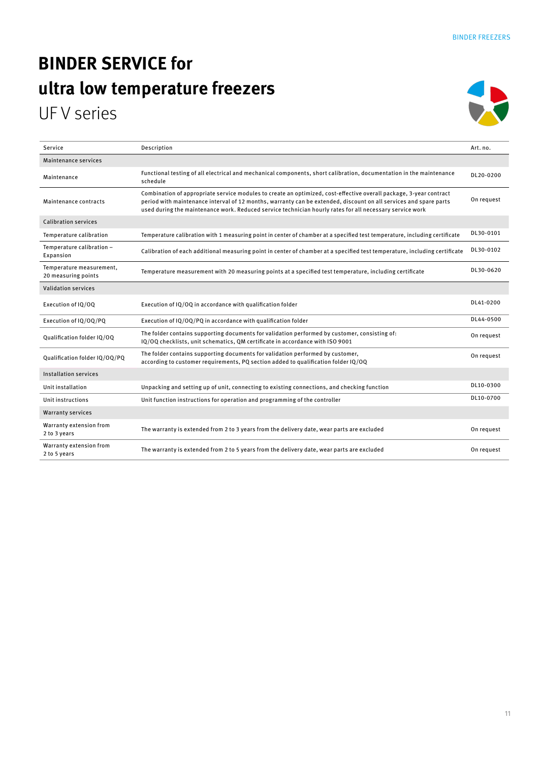### **BINDER SERVICE for ultra low temperature freezers**  UF V series



| Service                                         | Description                                                                                                                                                                                                                                                                                                                                         | Art. no.   |
|-------------------------------------------------|-----------------------------------------------------------------------------------------------------------------------------------------------------------------------------------------------------------------------------------------------------------------------------------------------------------------------------------------------------|------------|
| Maintenance services                            |                                                                                                                                                                                                                                                                                                                                                     |            |
| Maintenance                                     | Functional testing of all electrical and mechanical components, short calibration, documentation in the maintenance<br>schedule                                                                                                                                                                                                                     | DL20-0200  |
| Maintenance contracts                           | Combination of appropriate service modules to create an optimized, cost-effective overall package, 3-year contract<br>period with maintenance interval of 12 months, warranty can be extended, discount on all services and spare parts<br>used during the maintenance work. Reduced service technician hourly rates for all necessary service work | On request |
| <b>Calibration services</b>                     |                                                                                                                                                                                                                                                                                                                                                     |            |
| Temperature calibration                         | Temperature calibration with 1 measuring point in center of chamber at a specified test temperature, including certificate                                                                                                                                                                                                                          | DL30-0101  |
| Temperature calibration -<br>Expansion          | Calibration of each additional measuring point in center of chamber at a specified test temperature, including certificate                                                                                                                                                                                                                          | DL30-0102  |
| Temperature measurement,<br>20 measuring points | Temperature measurement with 20 measuring points at a specified test temperature, including certificate                                                                                                                                                                                                                                             | DL30-0620  |
| <b>Validation services</b>                      |                                                                                                                                                                                                                                                                                                                                                     |            |
| Execution of IQ/OQ                              | Execution of IQ/OQ in accordance with qualification folder                                                                                                                                                                                                                                                                                          | DL41-0200  |
| Execution of IQ/OQ/PQ                           | Execution of IQ/OQ/PQ in accordance with qualification folder                                                                                                                                                                                                                                                                                       | DL44-0500  |
| Qualification folder IQ/OQ                      | The folder contains supporting documents for validation performed by customer, consisting of:<br>IQ/OQ checklists, unit schematics, QM certificate in accordance with ISO 9001                                                                                                                                                                      | On request |
| Qualification folder IQ/OQ/PQ                   | The folder contains supporting documents for validation performed by customer,<br>according to customer requirements, PQ section added to qualification folder IQ/OQ                                                                                                                                                                                | On request |
| <b>Installation services</b>                    |                                                                                                                                                                                                                                                                                                                                                     |            |
| Unit installation                               | Unpacking and setting up of unit, connecting to existing connections, and checking function                                                                                                                                                                                                                                                         | DL10-0300  |
| Unit instructions                               | Unit function instructions for operation and programming of the controller                                                                                                                                                                                                                                                                          | DL10-0700  |
| <b>Warranty services</b>                        |                                                                                                                                                                                                                                                                                                                                                     |            |
| Warranty extension from<br>2 to 3 years         | The warranty is extended from 2 to 3 years from the delivery date, wear parts are excluded                                                                                                                                                                                                                                                          | On request |
| Warranty extension from<br>2 to 5 years         | The warranty is extended from 2 to 5 years from the delivery date, wear parts are excluded                                                                                                                                                                                                                                                          | On request |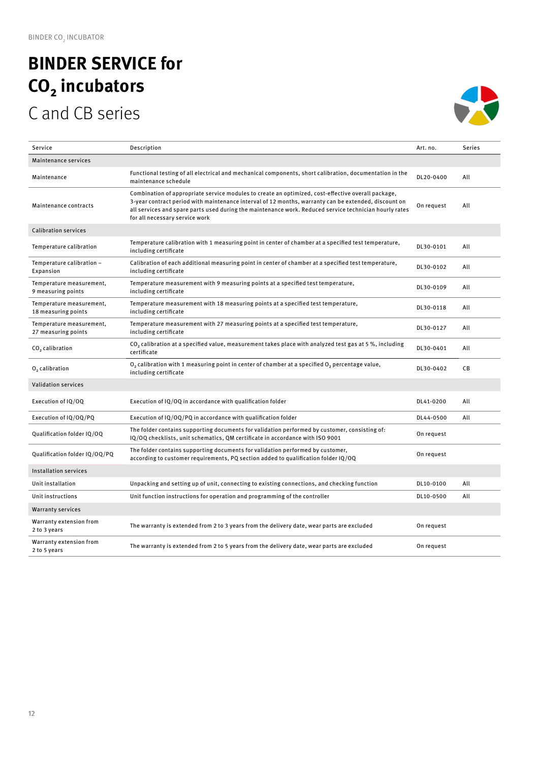### **BINDER SERVICE for CO₂ incubators**  C and CB series



| Service                                         | Description                                                                                                                                                                                                                                                                                                                                            | Art. no.   | <b>Series</b> |
|-------------------------------------------------|--------------------------------------------------------------------------------------------------------------------------------------------------------------------------------------------------------------------------------------------------------------------------------------------------------------------------------------------------------|------------|---------------|
| Maintenance services                            |                                                                                                                                                                                                                                                                                                                                                        |            |               |
| Maintenance                                     | Functional testing of all electrical and mechanical components, short calibration, documentation in the<br>maintenance schedule                                                                                                                                                                                                                        | DL20-0400  | All           |
| Maintenance contracts                           | Combination of appropriate service modules to create an optimized, cost-effective overall package,<br>3-year contract period with maintenance interval of 12 months, warranty can be extended, discount on<br>all services and spare parts used during the maintenance work. Reduced service technician hourly rates<br>for all necessary service work | On request | All           |
| <b>Calibration services</b>                     |                                                                                                                                                                                                                                                                                                                                                        |            |               |
| Temperature calibration                         | Temperature calibration with 1 measuring point in center of chamber at a specified test temperature,<br>including certificate                                                                                                                                                                                                                          | DL30-0101  | All           |
| Temperature calibration -<br>Expansion          | Calibration of each additional measuring point in center of chamber at a specified test temperature,<br>including certificate                                                                                                                                                                                                                          | DL30-0102  | All           |
| Temperature measurement,<br>9 measuring points  | Temperature measurement with 9 measuring points at a specified test temperature,<br>including certificate                                                                                                                                                                                                                                              | DL30-0109  | All           |
| Temperature measurement,<br>18 measuring points | Temperature measurement with 18 measuring points at a specified test temperature,<br>including certificate                                                                                                                                                                                                                                             | DL30-0118  | All           |
| Temperature measurement,<br>27 measuring points | Temperature measurement with 27 measuring points at a specified test temperature,<br>including certificate                                                                                                                                                                                                                                             | DL30-0127  | All           |
| CO <sub>2</sub> calibration                     | CO <sub>2</sub> calibration at a specified value, measurement takes place with analyzed test gas at 5 %, including<br>certificate                                                                                                                                                                                                                      | DL30-0401  | All           |
| O <sub>2</sub> calibration                      | $O2$ calibration with 1 measuring point in center of chamber at a specified $O2$ percentage value,<br>including certificate                                                                                                                                                                                                                            | DL30-0402  | СB            |
| <b>Validation services</b>                      |                                                                                                                                                                                                                                                                                                                                                        |            |               |
| Execution of IQ/OQ                              | Execution of IQ/OQ in accordance with qualification folder                                                                                                                                                                                                                                                                                             | DL41-0200  | All           |
| Execution of IQ/OQ/PQ                           | Execution of IQ/OQ/PQ in accordance with qualification folder                                                                                                                                                                                                                                                                                          | DL44-0500  | All           |
| Qualification folder IQ/OQ                      | The folder contains supporting documents for validation performed by customer, consisting of:<br>IQ/OQ checklists, unit schematics, QM certificate in accordance with ISO 9001                                                                                                                                                                         | On request |               |
| Qualification folder IQ/OQ/PQ                   | The folder contains supporting documents for validation performed by customer,<br>according to customer requirements, PQ section added to qualification folder IQ/OQ                                                                                                                                                                                   | On request |               |
| <b>Installation services</b>                    |                                                                                                                                                                                                                                                                                                                                                        |            |               |
| Unit installation                               | Unpacking and setting up of unit, connecting to existing connections, and checking function                                                                                                                                                                                                                                                            | DL10-0100  | All           |
| Unit instructions                               | Unit function instructions for operation and programming of the controller                                                                                                                                                                                                                                                                             | DL10-0500  | All           |
| <b>Warranty services</b>                        |                                                                                                                                                                                                                                                                                                                                                        |            |               |
| Warranty extension from<br>2 to 3 years         | The warranty is extended from 2 to 3 years from the delivery date, wear parts are excluded                                                                                                                                                                                                                                                             | On request |               |
| Warranty extension from<br>2 to 5 years         | The warranty is extended from 2 to 5 years from the delivery date, wear parts are excluded                                                                                                                                                                                                                                                             | On request |               |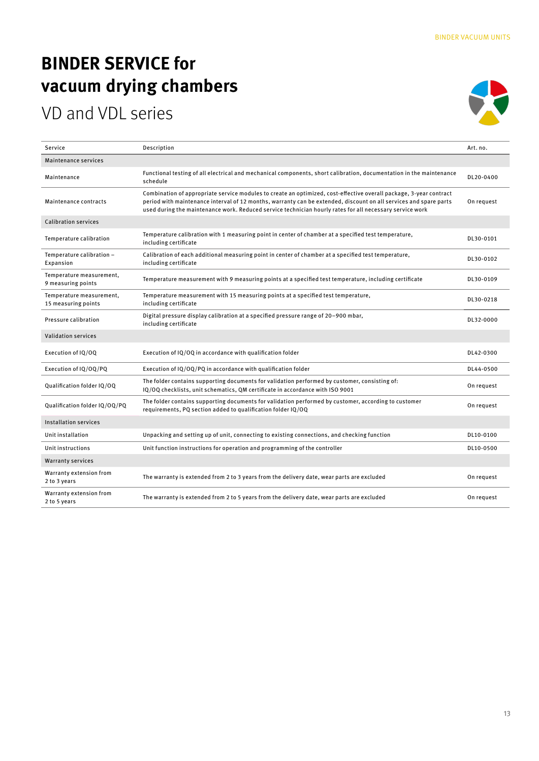### **BINDER SERVICE for vacuum drying chambers**

### VD and VDL series



| Service                                         | Description                                                                                                                                                                                                                                                                                                                                         | Art. no.   |
|-------------------------------------------------|-----------------------------------------------------------------------------------------------------------------------------------------------------------------------------------------------------------------------------------------------------------------------------------------------------------------------------------------------------|------------|
| Maintenance services                            |                                                                                                                                                                                                                                                                                                                                                     |            |
| Maintenance                                     | Functional testing of all electrical and mechanical components, short calibration, documentation in the maintenance<br>schedule                                                                                                                                                                                                                     | DL20-0400  |
| Maintenance contracts                           | Combination of appropriate service modules to create an optimized, cost-effective overall package, 3-year contract<br>period with maintenance interval of 12 months, warranty can be extended, discount on all services and spare parts<br>used during the maintenance work. Reduced service technician hourly rates for all necessary service work | On request |
| <b>Calibration services</b>                     |                                                                                                                                                                                                                                                                                                                                                     |            |
| Temperature calibration                         | Temperature calibration with 1 measuring point in center of chamber at a specified test temperature,<br>including certificate                                                                                                                                                                                                                       | DL30-0101  |
| Temperature calibration -<br>Expansion          | Calibration of each additional measuring point in center of chamber at a specified test temperature,<br>including certificate                                                                                                                                                                                                                       | DL30-0102  |
| Temperature measurement,<br>9 measuring points  | Temperature measurement with 9 measuring points at a specified test temperature, including certificate                                                                                                                                                                                                                                              | DL30-0109  |
| Temperature measurement,<br>15 measuring points | Temperature measurement with 15 measuring points at a specified test temperature,<br>including certificate                                                                                                                                                                                                                                          | DL30-0218  |
| Pressure calibration                            | Digital pressure display calibration at a specified pressure range of 20-900 mbar,<br>including certificate                                                                                                                                                                                                                                         | DL32-0000  |
| <b>Validation services</b>                      |                                                                                                                                                                                                                                                                                                                                                     |            |
| Execution of IQ/OQ                              | Execution of IQ/OQ in accordance with qualification folder                                                                                                                                                                                                                                                                                          | DL42-0300  |
| Execution of IQ/OQ/PQ                           | Execution of IQ/OQ/PQ in accordance with qualification folder                                                                                                                                                                                                                                                                                       | DL44-0500  |
| Qualification folder IQ/OQ                      | The folder contains supporting documents for validation performed by customer, consisting of:<br>IQ/OQ checklists, unit schematics, QM certificate in accordance with ISO 9001                                                                                                                                                                      | On request |
| Qualification folder IQ/OQ/PQ                   | The folder contains supporting documents for validation performed by customer, according to customer<br>requirements, PQ section added to qualification folder IQ/OQ                                                                                                                                                                                | On request |
| <b>Installation services</b>                    |                                                                                                                                                                                                                                                                                                                                                     |            |
| Unit installation                               | Unpacking and setting up of unit, connecting to existing connections, and checking function                                                                                                                                                                                                                                                         | DL10-0100  |
| Unit instructions                               | Unit function instructions for operation and programming of the controller                                                                                                                                                                                                                                                                          | DL10-0500  |
| <b>Warranty services</b>                        |                                                                                                                                                                                                                                                                                                                                                     |            |
| Warranty extension from<br>2 to 3 years         | The warranty is extended from 2 to 3 years from the delivery date, wear parts are excluded                                                                                                                                                                                                                                                          | On request |
| Warranty extension from<br>2 to 5 years         | The warranty is extended from 2 to 5 years from the delivery date, wear parts are excluded                                                                                                                                                                                                                                                          | On request |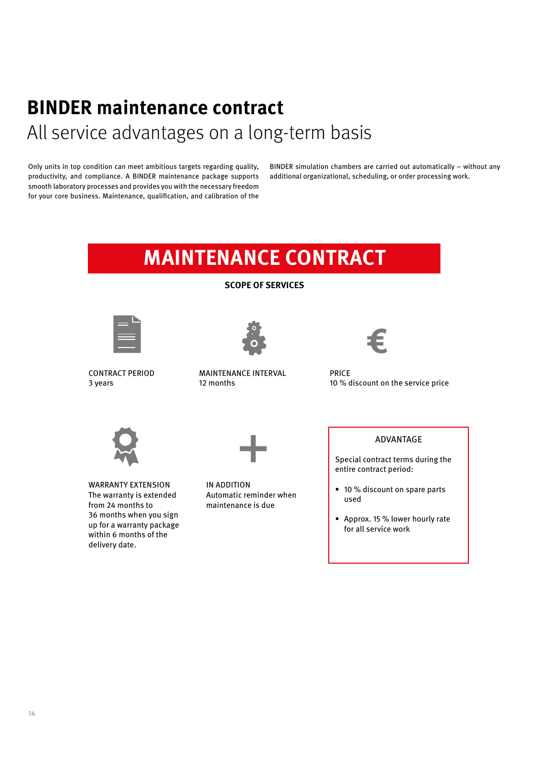# **BINDER maintenance contract**

All service advantages on a long-term basis

Only units in top condition can meet ambitious targets regarding quality, productivity, and compliance. A BINDER maintenance package supports smooth laboratory processes and provides you with the necessary freedom for your core business. Maintenance, qualification, and calibration of the

BINDER simulation chambers are carried out automatically – without any additional organizational, scheduling, or order processing work.

### **MAINTENANCE CONTRACT**

**SCOPE OF SERVICES**







CONTRACT PERIOD 3 years

MAINTENANCE INTERVAL 12 months

PRICE 10 % discount on the service price





WARRANTY EXTENSION The warranty is extended from 24 months to 36 months when you sign up for a warranty package within 6 months of the delivery date.

IN ADDITION Automatic reminder when maintenance is due

#### ADVANTAGE

Special contract terms during the entire contract period:

- 10 % discount on spare parts used
- Approx. 15 % lower hourly rate for all service work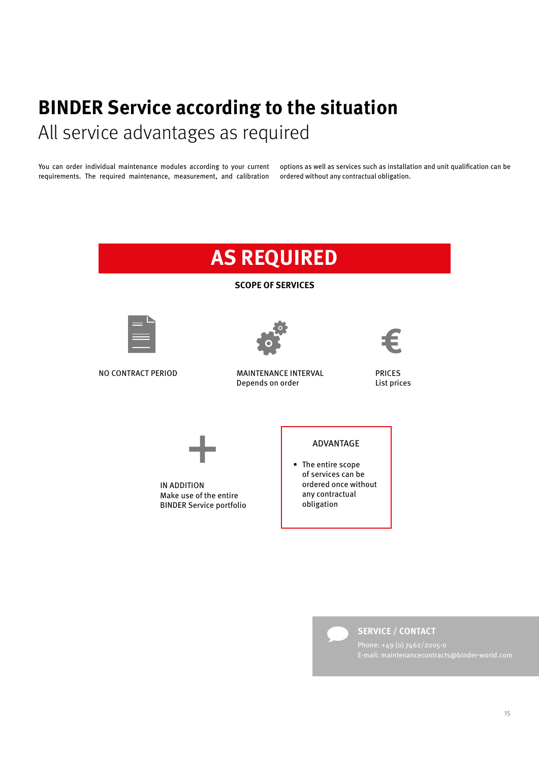### **BINDER Service according to the situation** All service advantages as required

You can order individual maintenance modules according to your current requirements. The required maintenance, measurement, and calibration options as well as services such as installation and unit qualification can be ordered without any contractual obligation.

#### **AS REQUIRED SCOPE OF SERVICES** NO CONTRACT PERIOD MAINTENANCE INTERVAL Depends on order IN ADDITION Make use of the entire BINDER Service portfolio PRICES List prices ADVANTAGE • The entire scope of services can be ordered once without any contractual obligation +



**SERVICE / CONTACT**